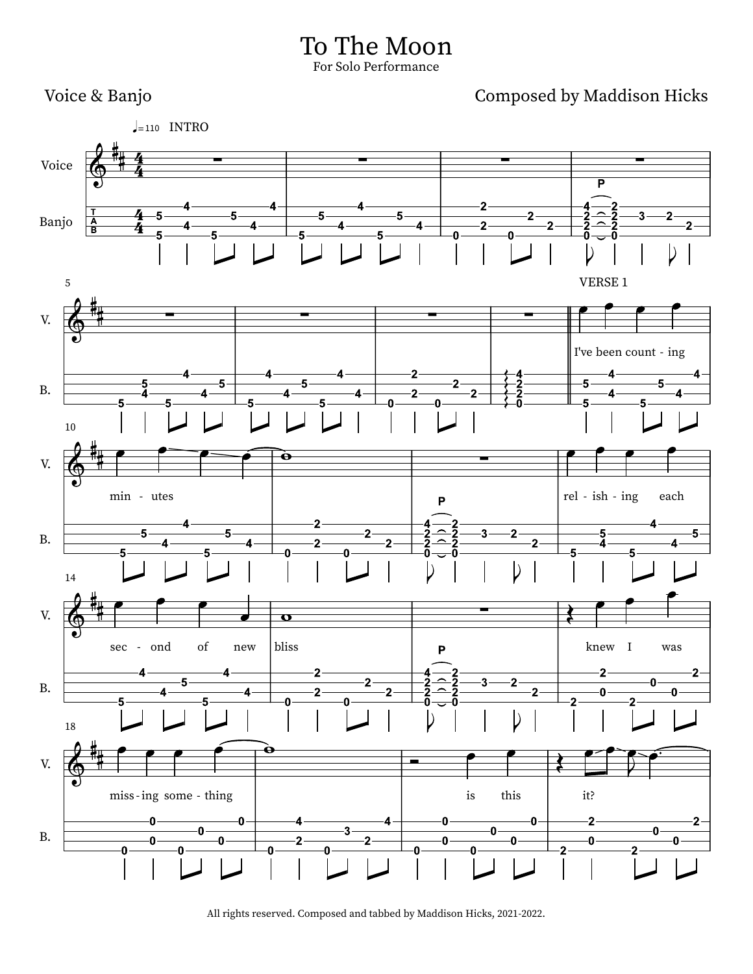

All rights reserved. Composed and tabbed by Maddison Hicks, 2021-2022.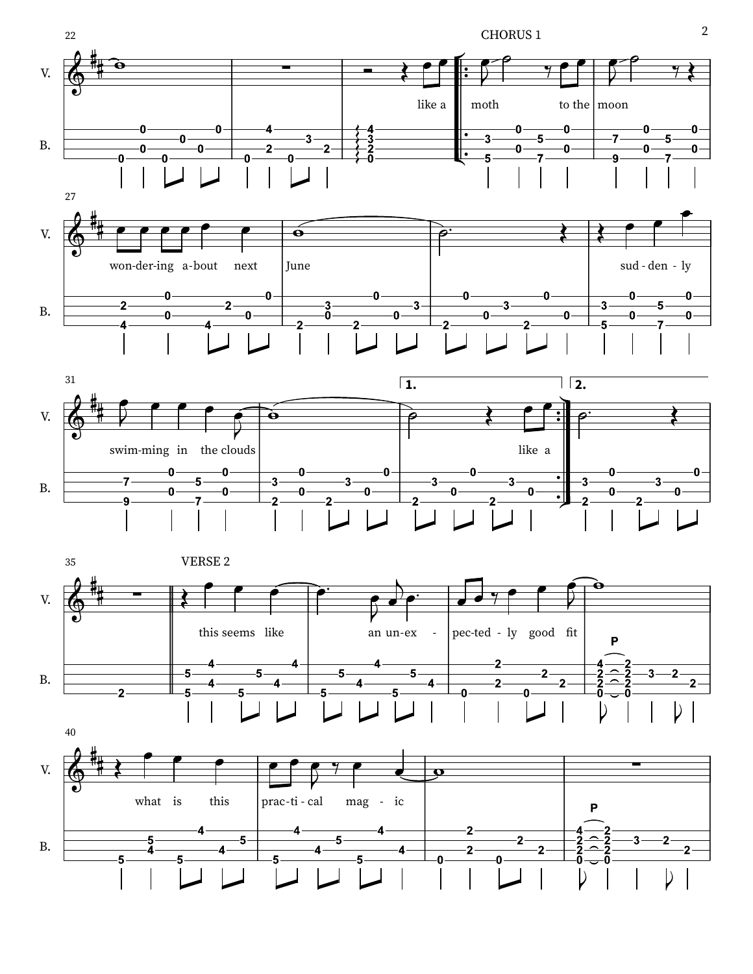







2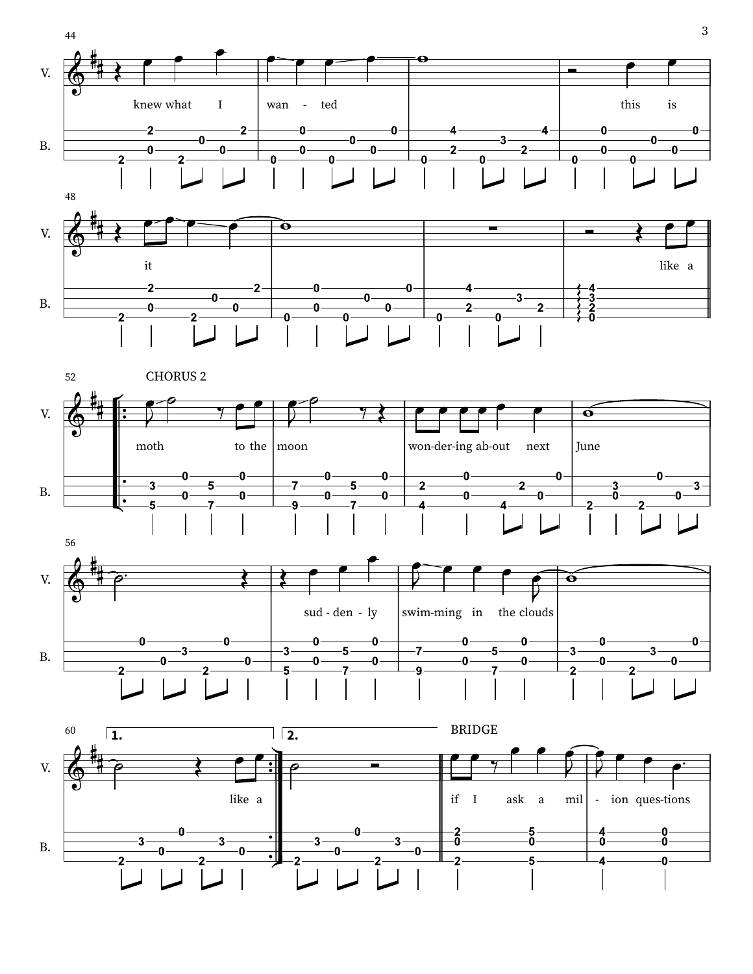





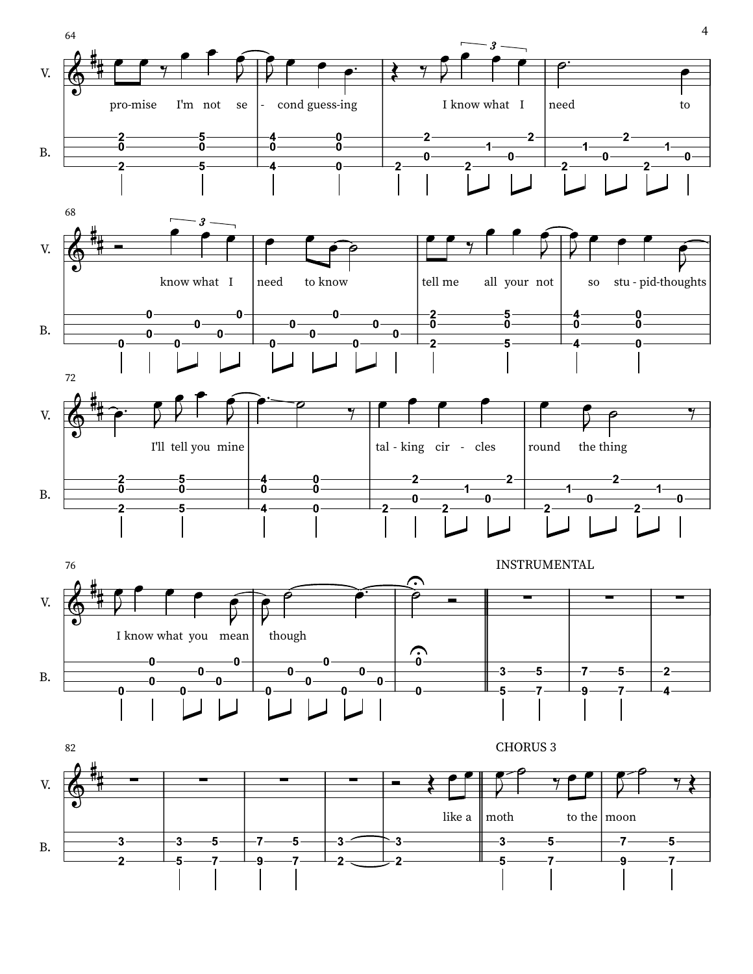